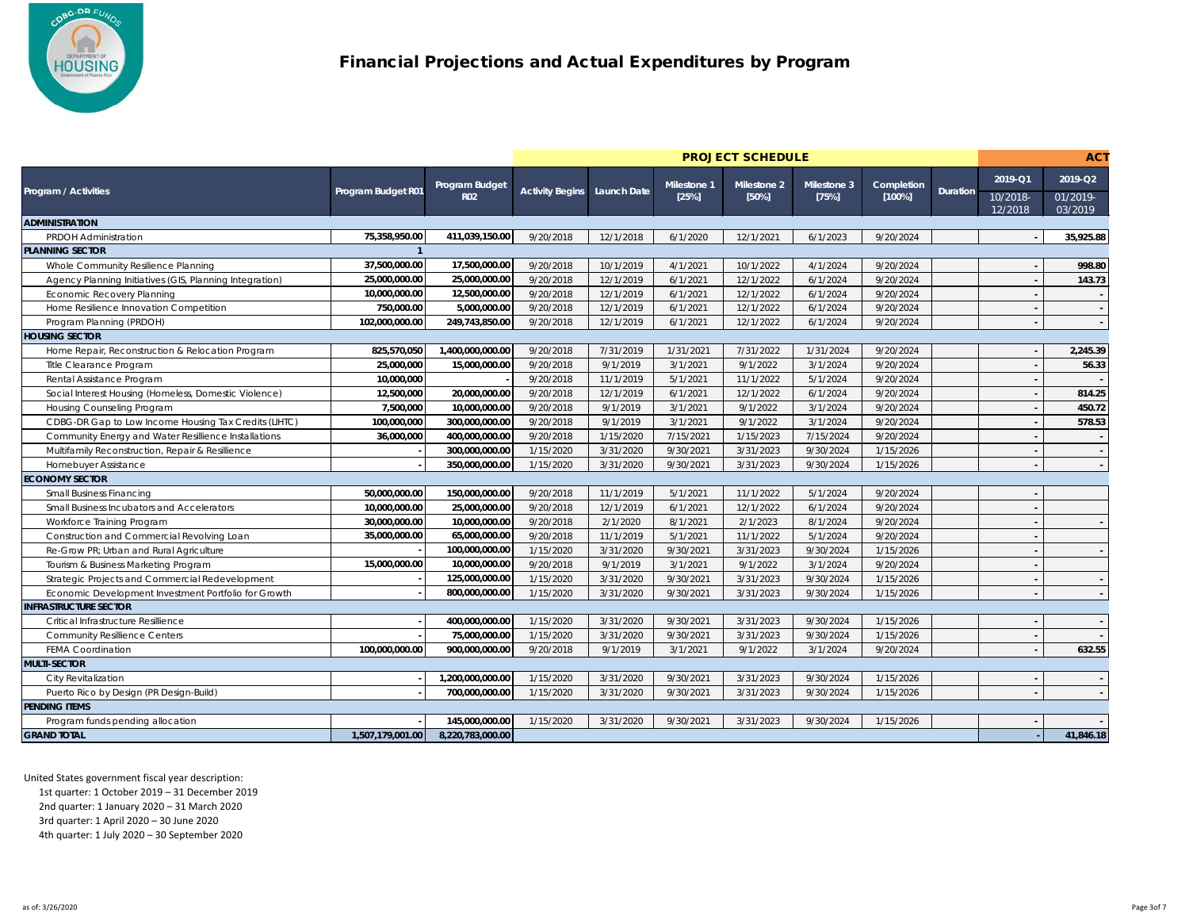

|                                                         |                    |                  | <b>PROJECT SCHEDULE</b> |             |                    |                    |                    |            |          | <b>ACT</b>          |                     |
|---------------------------------------------------------|--------------------|------------------|-------------------------|-------------|--------------------|--------------------|--------------------|------------|----------|---------------------|---------------------|
|                                                         |                    | Program Budget   |                         |             | <b>Milestone 1</b> | <b>Milestone 2</b> | <b>Milestone 3</b> | Completion |          | $2019 - Q1$         | 2019-Q2             |
| <b>Program / Activities</b>                             | Program Budget R01 | <b>R02</b>       | <b>Activity Begins</b>  | Launch Date | [25%]              | [50%]              | [75%]              | [100%]     | Duration | 10/2018-<br>12/2018 | 01/2019-<br>03/2019 |
| <b>ADMINISTRATION</b>                                   |                    |                  |                         |             |                    |                    |                    |            |          |                     |                     |
| <b>PRDOH Administration</b>                             | 75,358,950.00      | 411,039,150.00   | 9/20/2018               | 12/1/2018   | 6/1/2020           | 12/1/2021          | 6/1/2023           | 9/20/2024  |          |                     | 35,925.88           |
| <b>PLANNING SECTOR</b>                                  |                    |                  |                         |             |                    |                    |                    |            |          |                     |                     |
| Whole Community Resilience Planning                     | 37,500,000.00      | 17,500,000.00    | 9/20/2018               | 10/1/2019   | 4/1/2021           | 10/1/2022          | 4/1/2024           | 9/20/2024  |          |                     | 998.80              |
| Agency Planning Initiatives (GIS, Planning Integration) | 25,000,000.00      | 25,000,000.00    | 9/20/2018               | 12/1/2019   | 6/1/2021           | 12/1/2022          | 6/1/2024           | 9/20/2024  |          |                     | 143.73              |
| <b>Economic Recovery Planning</b>                       | 10,000,000.00      | 12,500,000.00    | 9/20/2018               | 12/1/2019   | 6/1/2021           | 12/1/2022          | 6/1/2024           | 9/20/2024  |          |                     |                     |
| Home Resilience Innovation Competition                  | 750,000.00         | 5,000,000.00     | 9/20/2018               | 12/1/2019   | 6/1/2021           | 12/1/2022          | 6/1/2024           | 9/20/2024  |          |                     |                     |
| Program Planning (PRDOH)                                | 102,000,000.00     | 249,743,850.00   | 9/20/2018               | 12/1/2019   | 6/1/2021           | 12/1/2022          | 6/1/2024           | 9/20/2024  |          |                     |                     |
| <b>HOUSING SECTOR</b>                                   |                    |                  |                         |             |                    |                    |                    |            |          |                     |                     |
| Home Repair, Reconstruction & Relocation Program        | 825,570,050        | 1,400,000,000.00 | 9/20/2018               | 7/31/2019   | 1/31/2021          | 7/31/2022          | 1/31/2024          | 9/20/2024  |          |                     | 2,245.39            |
| Title Clearance Program                                 | 25,000,000         | 15,000,000.00    | 9/20/2018               | 9/1/2019    | 3/1/2021           | 9/1/2022           | 3/1/2024           | 9/20/2024  |          |                     | 56.33               |
| Rental Assistance Program                               | 10,000,000         |                  | 9/20/2018               | 11/1/2019   | 5/1/2021           | 11/1/2022          | 5/1/2024           | 9/20/2024  |          |                     |                     |
| Social Interest Housing (Homeless, Domestic Violence)   | 12,500,000         | 20,000,000.00    | 9/20/2018               | 12/1/2019   | 6/1/2021           | 12/1/2022          | 6/1/2024           | 9/20/2024  |          |                     | 814.25              |
| Housing Counseling Program                              | 7,500,000          | 10,000,000.00    | 9/20/2018               | 9/1/2019    | 3/1/2021           | 9/1/2022           | 3/1/2024           | 9/20/2024  |          |                     | 450.72              |
| CDBG-DR Gap to Low Income Housing Tax Credits (LIHTC)   | 100,000,000        | 300,000,000.00   | 9/20/2018               | 9/1/2019    | 3/1/2021           | 9/1/2022           | 3/1/2024           | 9/20/2024  |          |                     | 578.53              |
| Community Energy and Water Resillience Installations    | 36,000,000         | 400,000,000.00   | 9/20/2018               | 1/15/2020   | 7/15/2021          | 1/15/2023          | 7/15/2024          | 9/20/2024  |          |                     |                     |
| Multifamily Reconstruction, Repair & Resillience        |                    | 300,000,000.00   | 1/15/2020               | 3/31/2020   | 9/30/2021          | 3/31/2023          | 9/30/2024          | 1/15/2026  |          |                     |                     |
| Homebuyer Assistance                                    |                    | 350,000,000.00   | 1/15/2020               | 3/31/2020   | 9/30/2021          | 3/31/2023          | 9/30/2024          | 1/15/2026  |          |                     |                     |
| <b>ECONOMY SECTOR</b>                                   |                    |                  |                         |             |                    |                    |                    |            |          |                     |                     |
| <b>Small Business Financing</b>                         | 50,000,000.00      | 150,000,000.00   | 9/20/2018               | 11/1/2019   | 5/1/2021           | 11/1/2022          | 5/1/2024           | 9/20/2024  |          |                     |                     |
| Small Business Incubators and Accelerators              | 10,000,000.00      | 25,000,000.00    | 9/20/2018               | 12/1/2019   | 6/1/2021           | 12/1/2022          | 6/1/2024           | 9/20/2024  |          |                     |                     |
| Workforce Training Program                              | 30,000,000.00      | 10,000,000.00    | 9/20/2018               | 2/1/2020    | 8/1/2021           | 2/1/2023           | 8/1/2024           | 9/20/2024  |          |                     |                     |
| Construction and Commercial Revolving Loan              | 35,000,000.00      | 65,000,000.00    | 9/20/2018               | 11/1/2019   | 5/1/2021           | 11/1/2022          | 5/1/2024           | 9/20/2024  |          |                     |                     |
| Re-Grow PR; Urban and Rural Agriculture                 |                    | 100,000,000.00   | 1/15/2020               | 3/31/2020   | 9/30/2021          | 3/31/2023          | 9/30/2024          | 1/15/2026  |          |                     |                     |
| Tourism & Business Marketing Program                    | 15,000,000.00      | 10,000,000.00    | 9/20/2018               | 9/1/2019    | 3/1/2021           | 9/1/2022           | 3/1/2024           | 9/20/2024  |          |                     |                     |
| Strategic Projects and Commercial Redevelopment         |                    | 125,000,000.00   | 1/15/2020               | 3/31/2020   | 9/30/2021          | 3/31/2023          | 9/30/2024          | 1/15/2026  |          |                     |                     |
| Economic Development Investment Portfolio for Growth    |                    | 800,000,000.00   | 1/15/2020               | 3/31/2020   | 9/30/2021          | 3/31/2023          | 9/30/2024          | 1/15/2026  |          |                     | $\sim$              |
| <b>INFRASTRUCTURE SECTOR</b>                            |                    |                  |                         |             |                    |                    |                    |            |          |                     |                     |
| Critical Infrastructure Resillience                     |                    | 400,000,000.00   | 1/15/2020               | 3/31/2020   | 9/30/2021          | 3/31/2023          | 9/30/2024          | 1/15/2026  |          |                     |                     |
| <b>Community Resillience Centers</b>                    |                    | 75,000,000.00    | 1/15/2020               | 3/31/2020   | 9/30/2021          | 3/31/2023          | 9/30/2024          | 1/15/2026  |          |                     |                     |
| <b>FEMA Coordination</b>                                | 100,000,000.00     | 900,000,000.00   | 9/20/2018               | 9/1/2019    | 3/1/2021           | 9/1/2022           | 3/1/2024           | 9/20/2024  |          |                     | 632.55              |
| <b>MULTI-SECTOR</b>                                     |                    |                  |                         |             |                    |                    |                    |            |          |                     |                     |
| <b>City Revitalization</b>                              |                    | 1,200,000,000.00 | 1/15/2020               | 3/31/2020   | 9/30/2021          | 3/31/2023          | 9/30/2024          | 1/15/2026  |          |                     |                     |
| Puerto Rico by Design (PR Design-Build)                 |                    | 700,000,000.00   | 1/15/2020               | 3/31/2020   | 9/30/2021          | 3/31/2023          | 9/30/2024          | 1/15/2026  |          |                     | $\sim$              |
| <b>PENDING ITEMS</b>                                    |                    |                  |                         |             |                    |                    |                    |            |          |                     |                     |
| Program funds pending allocation                        |                    | 145,000,000.00   | 1/15/2020               | 3/31/2020   | 9/30/2021          | 3/31/2023          | 9/30/2024          | 1/15/2026  |          |                     |                     |
| <b>GRAND TOTAL</b>                                      | 1,507,179,001.00   | 8,220,783,000.00 |                         |             |                    |                    |                    |            |          |                     | 41,846.18           |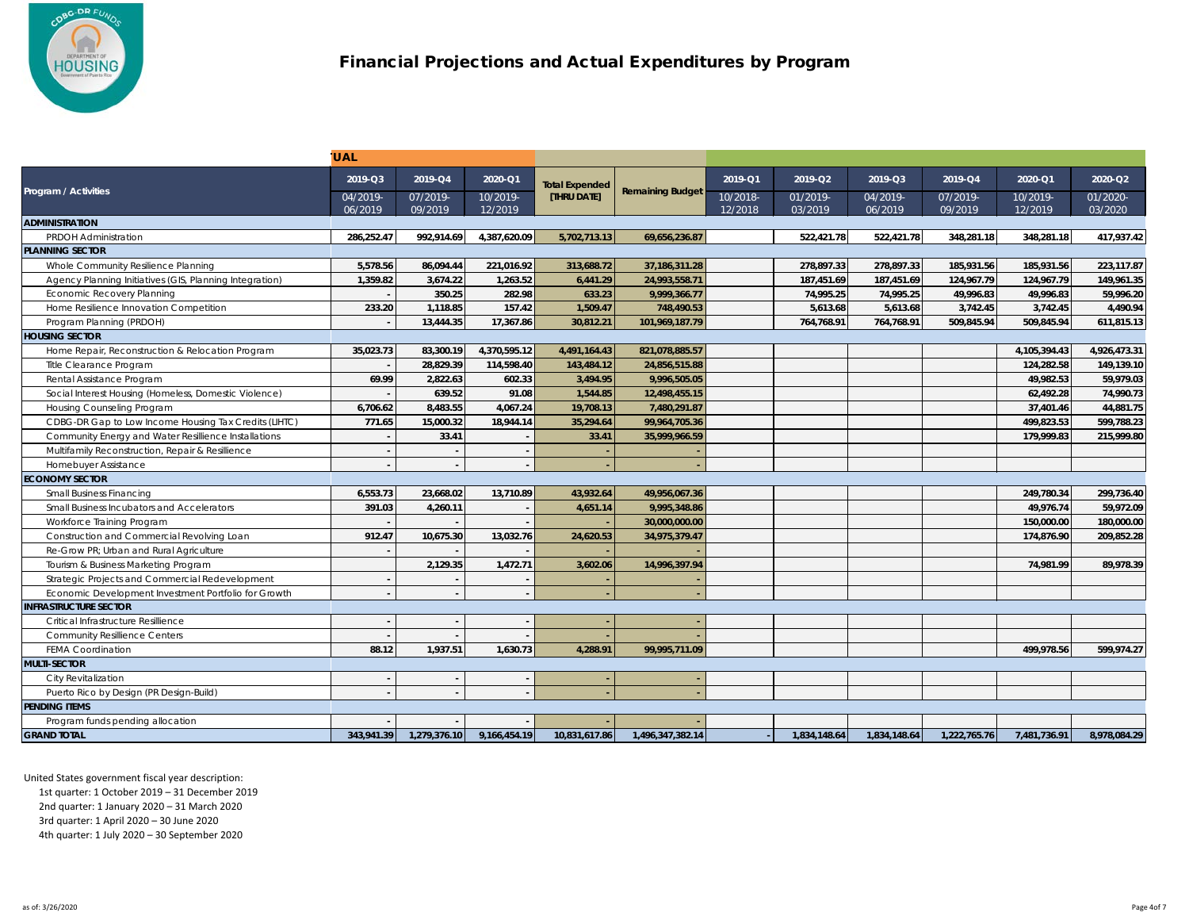

|                                                         | <b>UAL</b>          |                     |                     |                       |                         |                     |                     |                     |                     |                     |                     |
|---------------------------------------------------------|---------------------|---------------------|---------------------|-----------------------|-------------------------|---------------------|---------------------|---------------------|---------------------|---------------------|---------------------|
| Program / Activities                                    | 2019-Q3             | 2019-Q4             | 2020-Q1             | <b>Total Expended</b> | <b>Remaining Budget</b> | 2019-Q1             | 2019-Q2             | 2019-Q3             | 2019-Q4             | 2020-Q1             | 2020-Q2             |
|                                                         | 04/2019-<br>06/2019 | 07/2019-<br>09/2019 | 10/2019-<br>12/2019 | [THRU DATE]           |                         | 10/2018-<br>12/2018 | 01/2019-<br>03/2019 | 04/2019-<br>06/2019 | 07/2019-<br>09/2019 | 10/2019-<br>12/2019 | 01/2020-<br>03/2020 |
| <b>ADMINISTRATION</b>                                   |                     |                     |                     |                       |                         |                     |                     |                     |                     |                     |                     |
| <b>PRDOH Administration</b>                             | 286,252.47          | 992,914.69          | 4,387,620.09        | 5,702,713.13          | 69,656,236.87           |                     | 522,421.78          | 522,421.78          | 348,281.18          | 348,281.18          | 417,937.42          |
| <b>PLANNING SECTOR</b>                                  |                     |                     |                     |                       |                         |                     |                     |                     |                     |                     |                     |
| Whole Community Resilience Planning                     | 5,578.56            | 86,094.44           | 221,016.92          | 313,688.72            | 37, 186, 311. 28        |                     | 278,897.33          | 278,897.33          | 185,931.56          | 185,931.56          | 223,117.87          |
| Agency Planning Initiatives (GIS, Planning Integration) | 1,359.82            | 3,674.22            | 1,263.52            | 6,441.29              | 24,993,558.71           |                     | 187,451.69          | 187,451.69          | 124,967.79          | 124,967.79          | 149,961.35          |
| <b>Economic Recovery Planning</b>                       |                     | 350.25              | 282.98              | 633.23                | 9,999,366.77            |                     | 74,995.25           | 74,995.25           | 49,996.83           | 49,996.83           | 59,996.20           |
| Home Resilience Innovation Competition                  | 233.20              | 1,118.85            | 157.42              | 1,509.47              | 748,490.53              |                     | 5,613.68            | 5,613.68            | 3,742.45            | 3,742.45            | 4,490.94            |
| Program Planning (PRDOH)                                |                     | 13,444.35           | 17,367.86           | 30,812.21             | 101,969,187.79          |                     | 764,768.91          | 764,768.91          | 509,845.94          | 509,845.94          | 611,815.13          |
| <b>HOUSING SECTOR</b>                                   |                     |                     |                     |                       |                         |                     |                     |                     |                     |                     |                     |
| Home Repair, Reconstruction & Relocation Program        | 35,023.73           | 83,300.19           | 4,370,595.12        | 4,491,164.43          | 821,078,885.57          |                     |                     |                     |                     | 4,105,394.43        | 4,926,473.31        |
| Title Clearance Program                                 |                     | 28,829.39           | 114,598.40          | 143,484.12            | 24,856,515.88           |                     |                     |                     |                     | 124,282.58          | 149,139.10          |
| Rental Assistance Program                               | 69.99               | 2,822.63            | 602.33              | 3,494.95              | 9,996,505.05            |                     |                     |                     |                     | 49,982.53           | 59,979.03           |
| Social Interest Housing (Homeless, Domestic Violence)   |                     | 639.52              | 91.08               | 1,544.85              | 12,498,455.15           |                     |                     |                     |                     | 62,492.28           | 74,990.73           |
| Housing Counseling Program                              | 6,706.62            | 8,483.55            | 4,067.24            | 19,708.13             | 7,480,291.87            |                     |                     |                     |                     | 37,401.46           | 44,881.75           |
| CDBG-DR Gap to Low Income Housing Tax Credits (LIHTC)   | 771.65              | 15,000.32           | 18,944.14           | 35,294.64             | 99,964,705.36           |                     |                     |                     |                     | 499,823.53          | 599,788.23          |
| Community Energy and Water Resillience Installations    |                     | 33.41               |                     | 33.41                 | 35,999,966.59           |                     |                     |                     |                     | 179,999.83          | 215,999.80          |
| Multifamily Reconstruction, Repair & Resillience        |                     |                     |                     |                       |                         |                     |                     |                     |                     |                     |                     |
| Homebuyer Assistance                                    |                     |                     |                     |                       |                         |                     |                     |                     |                     |                     |                     |
| <b>ECONOMY SECTOR</b>                                   |                     |                     |                     |                       |                         |                     |                     |                     |                     |                     |                     |
| <b>Small Business Financing</b>                         | 6,553.73            | 23,668.02           | 13,710.89           | 43,932.64             | 49,956,067.36           |                     |                     |                     |                     | 249,780.34          | 299,736.40          |
| Small Business Incubators and Accelerators              | 391.03              | 4,260.11            |                     | 4,651.14              | 9,995,348.86            |                     |                     |                     |                     | 49,976.74           | 59,972.09           |
| Workforce Training Program                              |                     |                     |                     |                       | 30,000,000.00           |                     |                     |                     |                     | 150,000.00          | 180,000.00          |
| Construction and Commercial Revolving Loan              | 912.47              | 10,675.30           | 13,032.76           | 24,620.53             | 34,975,379.47           |                     |                     |                     |                     | 174,876.90          | 209,852.28          |
| Re-Grow PR; Urban and Rural Agriculture                 |                     |                     |                     |                       |                         |                     |                     |                     |                     |                     |                     |
| Tourism & Business Marketing Program                    |                     | 2,129.35            | 1,472.71            | 3,602.06              | 14,996,397.94           |                     |                     |                     |                     | 74,981.99           | 89,978.39           |
| Strategic Projects and Commercial Redevelopment         |                     |                     |                     |                       |                         |                     |                     |                     |                     |                     |                     |
| Economic Development Investment Portfolio for Growth    |                     |                     |                     |                       |                         |                     |                     |                     |                     |                     |                     |
| <b>INFRASTRUCTURE SECTOR</b>                            |                     |                     |                     |                       |                         |                     |                     |                     |                     |                     |                     |
| Critical Infrastructure Resillience                     |                     |                     |                     |                       |                         |                     |                     |                     |                     |                     |                     |
| <b>Community Resillience Centers</b>                    |                     |                     |                     |                       |                         |                     |                     |                     |                     |                     |                     |
| <b>FEMA Coordination</b>                                | 88.12               | 1,937.51            | 1,630.73            | 4,288.91              | 99,995,711.09           |                     |                     |                     |                     | 499,978.56          | 599,974.27          |
| <b>MULTI-SECTOR</b>                                     |                     |                     |                     |                       |                         |                     |                     |                     |                     |                     |                     |
| City Revitalization                                     |                     |                     |                     |                       |                         |                     |                     |                     |                     |                     |                     |
| Puerto Rico by Design (PR Design-Build)                 |                     |                     |                     |                       |                         |                     |                     |                     |                     |                     |                     |
| <b>PENDING ITEMS</b>                                    |                     |                     |                     |                       |                         |                     |                     |                     |                     |                     |                     |
| Program funds pending allocation                        |                     |                     |                     |                       |                         |                     |                     |                     |                     |                     |                     |
| <b>GRAND TOTAL</b>                                      | 343,941.39          | 1,279,376.10        | 9,166,454.19        | 10,831,617.86         | 1,496,347,382.14        |                     | 1,834,148.64        | 1,834,148.64        | 1,222,765.76        | 7,481,736.91        | 8,978,084.29        |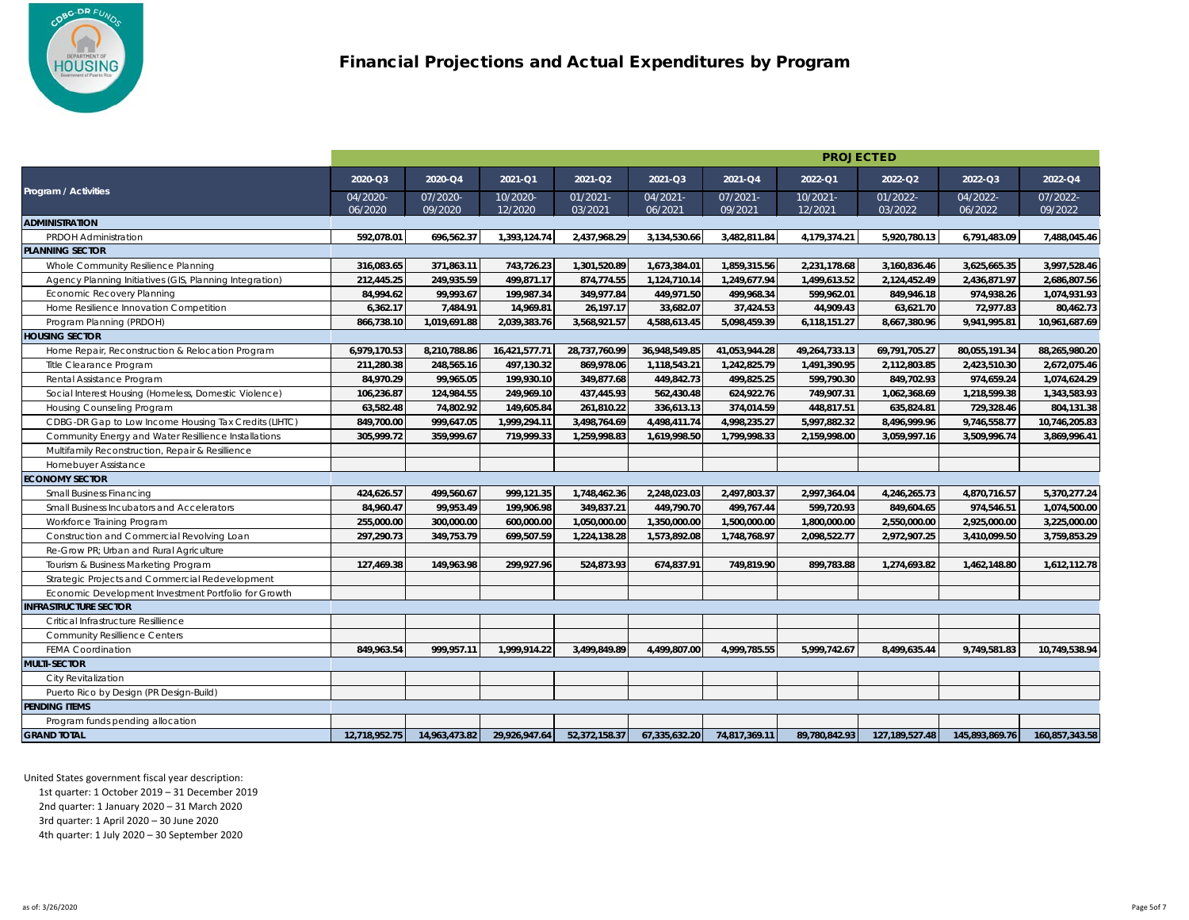

|                                                         |               |               |               |               |               |               | <b>PROJECTED</b> |                              |                |                |
|---------------------------------------------------------|---------------|---------------|---------------|---------------|---------------|---------------|------------------|------------------------------|----------------|----------------|
| Program / Activities                                    | 2020-Q3       | 2020-Q4       | 2021-Q1       | 2021-Q2       | 2021-Q3       | 2021-Q4       | 2022-Q1          | 2022-Q2                      | 2022-Q3        | 2022-Q4        |
|                                                         | 04/2020-      | 07/2020-      | 10/2020-      | 01/2021-      | 04/2021-      | 07/2021-      | 10/2021-         | 01/2022-                     | 04/2022-       | 07/2022-       |
|                                                         | 06/2020       | 09/2020       | 12/2020       | 03/2021       | 06/2021       | 09/2021       | 12/2021          | 03/2022                      | 06/2022        | 09/2022        |
| <b>ADMINISTRATION</b>                                   |               |               |               |               |               |               |                  |                              |                |                |
| <b>PRDOH Administration</b><br><b>PLANNING SECTOR</b>   | 592,078.01    | 696,562.37    | 1,393,124.74  | 2,437,968.29  | 3,134,530.66  | 3,482,811.84  | 4,179,374.21     | 5,920,780.13                 | 6,791,483.09   | 7,488,045.46   |
|                                                         | 316,083.65    | 371,863.11    | 743,726.23    | 1,301,520.89  | 1,673,384.01  |               |                  |                              | 3,625,665.35   | 3,997,528.46   |
| Whole Community Resilience Planning                     | 212,445.25    |               |               |               |               | 1,859,315.56  | 2,231,178.68     | 3,160,836.46<br>2,124,452.49 | 2,436,871.97   |                |
| Agency Planning Initiatives (GIS, Planning Integration) |               | 249,935.59    | 499,871.17    | 874,774.55    | 1,124,710.14  | 1,249,677.94  | 1,499,613.52     |                              |                | 2,686,807.56   |
| <b>Economic Recovery Planning</b>                       | 84,994.62     | 99,993.67     | 199,987.34    | 349,977.84    | 449,971.50    | 499,968.34    | 599,962.01       | 849,946.18                   | 974,938.26     | 1,074,931.93   |
| Home Resilience Innovation Competition                  | 6,362.17      | 7,484.91      | 14,969.81     | 26,197.17     | 33,682.07     | 37,424.53     | 44,909.43        | 63,621.70                    | 72,977.83      | 80,462.73      |
| Program Planning (PRDOH)                                | 866,738.10    | 1,019,691.88  | 2,039,383.76  | 3,568,921.57  | 4,588,613.45  | 5,098,459.39  | 6,118,151.27     | 8,667,380.96                 | 9,941,995.81   | 10,961,687.69  |
| <b>HOUSING SECTOR</b>                                   |               |               |               |               |               |               |                  |                              |                |                |
| Home Repair, Reconstruction & Relocation Program        | 6,979,170.53  | 8,210,788.86  | 16,421,577.71 | 28,737,760.99 | 36,948,549.85 | 41,053,944.28 | 49,264,733.13    | 69,791,705.27                | 80,055,191.34  | 88,265,980.20  |
| Title Clearance Program                                 | 211,280.38    | 248,565.16    | 497,130.32    | 869,978.06    | 1,118,543.21  | 1,242,825.79  | 1,491,390.95     | 2,112,803.85                 | 2,423,510.30   | 2,672,075.46   |
| Rental Assistance Program                               | 84,970.29     | 99,965.05     | 199,930.10    | 349,877.68    | 449,842.73    | 499,825.25    | 599,790.30       | 849,702.93                   | 974,659.24     | 1,074,624.29   |
| Social Interest Housing (Homeless, Domestic Violence)   | 106,236.87    | 124,984.55    | 249,969.10    | 437,445.93    | 562,430.48    | 624,922.76    | 749,907.31       | 1,062,368.69                 | 1,218,599.38   | 1,343,583.93   |
| Housing Counseling Program                              | 63,582.48     | 74,802.92     | 149,605.84    | 261,810.22    | 336,613.13    | 374,014.59    | 448,817.51       | 635,824.81                   | 729,328.46     | 804,131.38     |
| CDBG-DR Gap to Low Income Housing Tax Credits (LIHTC)   | 849,700.00    | 999,647.05    | 1,999,294.11  | 3,498,764.69  | 4,498,411.74  | 4,998,235.27  | 5,997,882.32     | 8,496,999.96                 | 9,746,558.77   | 10,746,205.83  |
| Community Energy and Water Resillience Installations    | 305,999.72    | 359,999.67    | 719,999.33    | 1,259,998.83  | 1,619,998.50  | 1,799,998.33  | 2,159,998.00     | 3,059,997.16                 | 3,509,996.74   | 3,869,996.41   |
| Multifamily Reconstruction, Repair & Resillience        |               |               |               |               |               |               |                  |                              |                |                |
| Homebuyer Assistance                                    |               |               |               |               |               |               |                  |                              |                |                |
| <b>ECONOMY SECTOR</b>                                   |               |               |               |               |               |               |                  |                              |                |                |
| <b>Small Business Financing</b>                         | 424,626.57    | 499,560.67    | 999,121.35    | 1,748,462.36  | 2,248,023.03  | 2,497,803.37  | 2,997,364.04     | 4,246,265.73                 | 4,870,716.57   | 5,370,277.24   |
| Small Business Incubators and Accelerators              | 84,960.47     | 99,953.49     | 199,906.98    | 349,837.21    | 449,790.70    | 499,767.44    | 599,720.93       | 849,604.65                   | 974,546.51     | 1,074,500.00   |
| Workforce Training Program                              | 255,000.00    | 300,000.00    | 600,000.00    | 1,050,000.00  | 1,350,000.00  | 1,500,000.00  | 1,800,000.00     | 2,550,000.00                 | 2,925,000.00   | 3,225,000.00   |
| Construction and Commercial Revolving Loan              | 297,290.73    | 349,753.79    | 699,507.59    | 1,224,138.28  | 1,573,892.08  | 1,748,768.97  | 2,098,522.77     | 2,972,907.25                 | 3,410,099.50   | 3,759,853.29   |
| Re-Grow PR; Urban and Rural Agriculture                 |               |               |               |               |               |               |                  |                              |                |                |
| Tourism & Business Marketing Program                    | 127,469.38    | 149,963.98    | 299,927.96    | 524,873.93    | 674,837.91    | 749,819.90    | 899,783.88       | 1,274,693.82                 | 1,462,148.80   | 1,612,112.78   |
| Strategic Projects and Commercial Redevelopment         |               |               |               |               |               |               |                  |                              |                |                |
| Economic Development Investment Portfolio for Growth    |               |               |               |               |               |               |                  |                              |                |                |
| <b>INFRASTRUCTURE SECTOR</b>                            |               |               |               |               |               |               |                  |                              |                |                |
| Critical Infrastructure Resillience                     |               |               |               |               |               |               |                  |                              |                |                |
| <b>Community Resillience Centers</b>                    |               |               |               |               |               |               |                  |                              |                |                |
| <b>FEMA Coordination</b>                                | 849,963.54    | 999,957.11    | 1,999,914.22  | 3,499,849.89  | 4,499,807.00  | 4,999,785.55  | 5,999,742.67     | 8,499,635.44                 | 9,749,581.83   | 10,749,538.94  |
| <b>MULTI-SECTOR</b>                                     |               |               |               |               |               |               |                  |                              |                |                |
| City Revitalization                                     |               |               |               |               |               |               |                  |                              |                |                |
| Puerto Rico by Design (PR Design-Build)                 |               |               |               |               |               |               |                  |                              |                |                |
| <b>PENDING ITEMS</b>                                    |               |               |               |               |               |               |                  |                              |                |                |
| Program funds pending allocation                        |               |               |               |               |               |               |                  |                              |                |                |
| <b>GRAND TOTAL</b>                                      | 12,718,952.75 | 14,963,473.82 | 29,926,947.64 | 52,372,158.37 | 67,335,632.20 | 74,817,369.11 | 89,780,842.93    | 127,189,527.48               | 145,893,869.76 | 160,857,343.58 |
|                                                         |               |               |               |               |               |               |                  |                              |                |                |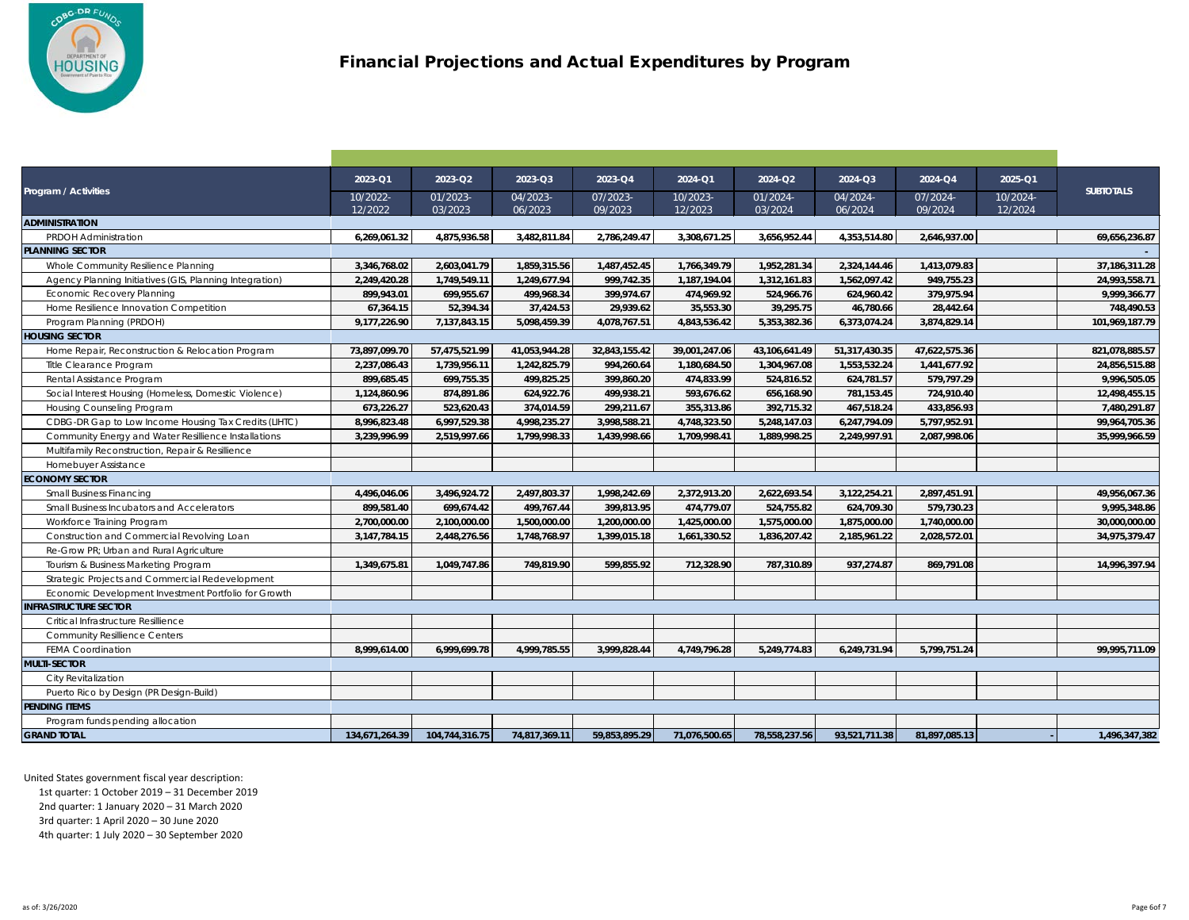

| <b>Program / Activities</b>                             | 2023-Q1             | 2023-Q2             | 2023-Q3             | 2023-Q4             | 2024-Q1             | 2024-Q2             | 2024-Q3             | 2024-Q4             | 2025-Q1             | <b>SUBTOTALS</b> |
|---------------------------------------------------------|---------------------|---------------------|---------------------|---------------------|---------------------|---------------------|---------------------|---------------------|---------------------|------------------|
|                                                         | 10/2022-<br>12/2022 | 01/2023-<br>03/2023 | 04/2023-<br>06/2023 | 07/2023-<br>09/2023 | 10/2023-<br>12/2023 | 01/2024-<br>03/2024 | 04/2024-<br>06/2024 | 07/2024-<br>09/2024 | 10/2024-<br>12/2024 |                  |
| <b>ADMINISTRATION</b>                                   |                     |                     |                     |                     |                     |                     |                     |                     |                     |                  |
| <b>PRDOH Administration</b>                             | 6,269,061.32        | 4,875,936.58        | 3,482,811.84        | 2,786,249.47        | 3,308,671.25        | 3,656,952.44        | 4,353,514.80        | 2,646,937.00        |                     | 69,656,236.87    |
| <b>PLANNING SECTOR</b>                                  |                     |                     |                     |                     |                     |                     |                     |                     |                     |                  |
| Whole Community Resilience Planning                     | 3,346,768.02        | 2,603,041.79        | 1,859,315.56        | 1,487,452.45        | 1,766,349.79        | 1,952,281.34        | 2,324,144.46        | 1,413,079.83        |                     | 37, 186, 311.28  |
| Agency Planning Initiatives (GIS, Planning Integration) | 2,249,420.28        | 1,749,549.11        | 1,249,677.94        | 999,742.35          | 1,187,194.04        | 1,312,161.83        | 1,562,097.42        | 949,755.23          |                     | 24,993,558.71    |
| <b>Economic Recovery Planning</b>                       | 899,943.01          | 699,955.67          | 499,968.34          | 399,974.67          | 474,969.92          | 524,966.76          | 624,960.42          | 379,975.94          |                     | 9,999,366.77     |
| Home Resilience Innovation Competition                  | 67,364.15           | 52,394.34           | 37,424.53           | 29,939.62           | 35,553.30           | 39,295.75           | 46,780.66           | 28,442.64           |                     | 748,490.53       |
| Program Planning (PRDOH)                                | 9,177,226.90        | 7,137,843.15        | 5,098,459.39        | 4,078,767.51        | 4,843,536.42        | 5,353,382.36        | 6,373,074.24        | 3,874,829.14        |                     | 101,969,187.79   |
| <b>HOUSING SECTOR</b>                                   |                     |                     |                     |                     |                     |                     |                     |                     |                     |                  |
| Home Repair, Reconstruction & Relocation Program        | 73,897,099.70       | 57,475,521.99       | 41,053,944.28       | 32,843,155.42       | 39,001,247.06       | 43,106,641.49       | 51,317,430.35       | 47,622,575.36       |                     | 821,078,885.57   |
| Title Clearance Program                                 | 2,237,086.43        | 1,739,956.11        | 1,242,825.79        | 994,260.64          | 1,180,684.50        | 1,304,967.08        | 1,553,532.24        | 1,441,677.92        |                     | 24,856,515.88    |
| Rental Assistance Program                               | 899,685.45          | 699,755.35          | 499,825.25          | 399,860.20          | 474,833.99          | 524,816.52          | 624,781.57          | 579,797.29          |                     | 9,996,505.05     |
| Social Interest Housing (Homeless, Domestic Violence)   | 1,124,860.96        | 874,891.86          | 624,922.76          | 499,938.21          | 593,676.62          | 656,168.90          | 781,153.45          | 724,910.40          |                     | 12,498,455.15    |
| Housing Counseling Program                              | 673,226.27          | 523,620.43          | 374,014.59          | 299,211.67          | 355,313.86          | 392,715.32          | 467,518.24          | 433,856.93          |                     | 7,480,291.87     |
| CDBG-DR Gap to Low Income Housing Tax Credits (LIHTC)   | 8,996,823.48        | 6,997,529.38        | 4,998,235.27        | 3,998,588.21        | 4,748,323.50        | 5,248,147.03        | 6,247,794.09        | 5,797,952.91        |                     | 99,964,705.36    |
| Community Energy and Water Resillience Installations    | 3,239,996.99        | 2,519,997.66        | 1,799,998.33        | 1,439,998.66        | 1,709,998.41        | 1,889,998.25        | 2,249,997.91        | 2,087,998.06        |                     | 35,999,966.59    |
| Multifamily Reconstruction, Repair & Resillience        |                     |                     |                     |                     |                     |                     |                     |                     |                     |                  |
| Homebuyer Assistance                                    |                     |                     |                     |                     |                     |                     |                     |                     |                     |                  |
| <b>ECONOMY SECTOR</b>                                   |                     |                     |                     |                     |                     |                     |                     |                     |                     |                  |
| <b>Small Business Financing</b>                         | 4,496,046.06        | 3,496,924.72        | 2,497,803.37        | 1,998,242.69        | 2,372,913.20        | 2,622,693.54        | 3,122,254.21        | 2,897,451.91        |                     | 49,956,067.36    |
| Small Business Incubators and Accelerators              | 899,581.40          | 699,674.42          | 499,767.44          | 399,813.95          | 474,779.07          | 524,755.82          | 624,709.30          | 579,730.23          |                     | 9,995,348.86     |
| Workforce Training Program                              | 2,700,000.00        | 2,100,000.00        | 1,500,000.00        | 1,200,000.00        | 1,425,000.00        | 1,575,000.00        | 1,875,000.00        | 1,740,000.00        |                     | 30,000,000.00    |
| Construction and Commercial Revolving Loan              | 3,147,784.15        | 2,448,276.56        | 1,748,768.97        | 1,399,015.18        | 1,661,330.52        | 1,836,207.42        | 2,185,961.22        | 2,028,572.01        |                     | 34,975,379.47    |
| Re-Grow PR; Urban and Rural Agriculture                 |                     |                     |                     |                     |                     |                     |                     |                     |                     |                  |
| Tourism & Business Marketing Program                    | 1,349,675.81        | 1,049,747.86        | 749,819.90          | 599,855.92          | 712,328.90          | 787,310.89          | 937,274.87          | 869,791.08          |                     | 14,996,397.94    |
| Strategic Projects and Commercial Redevelopment         |                     |                     |                     |                     |                     |                     |                     |                     |                     |                  |
| Economic Development Investment Portfolio for Growth    |                     |                     |                     |                     |                     |                     |                     |                     |                     |                  |
| <b>INFRASTRUCTURE SECTOR</b>                            |                     |                     |                     |                     |                     |                     |                     |                     |                     |                  |
| Critical Infrastructure Resillience                     |                     |                     |                     |                     |                     |                     |                     |                     |                     |                  |
| <b>Community Resillience Centers</b>                    |                     |                     |                     |                     |                     |                     |                     |                     |                     |                  |
| <b>FEMA Coordination</b>                                | 8,999,614.00        | 6,999,699.78        | 4,999,785.55        | 3,999,828.44        | 4,749,796.28        | 5,249,774.83        | 6,249,731.94        | 5,799,751.24        |                     | 99,995,711.09    |
| <b>MULTI-SECTOR</b>                                     |                     |                     |                     |                     |                     |                     |                     |                     |                     |                  |
| City Revitalization                                     |                     |                     |                     |                     |                     |                     |                     |                     |                     |                  |
| Puerto Rico by Design (PR Design-Build)                 |                     |                     |                     |                     |                     |                     |                     |                     |                     |                  |
| <b>PENDING ITEMS</b>                                    |                     |                     |                     |                     |                     |                     |                     |                     |                     |                  |
| Program funds pending allocation                        |                     |                     |                     |                     |                     |                     |                     |                     |                     |                  |
| <b>GRAND TOTAL</b>                                      | 134,671,264.39      | 104,744,316.75      | 74,817,369.11       | 59,853,895.29       | 71,076,500.65       | 78,558,237.56       | 93,521,711.38       | 81,897,085.13       |                     | 1,496,347,382    |
|                                                         |                     |                     |                     |                     |                     |                     |                     |                     |                     |                  |